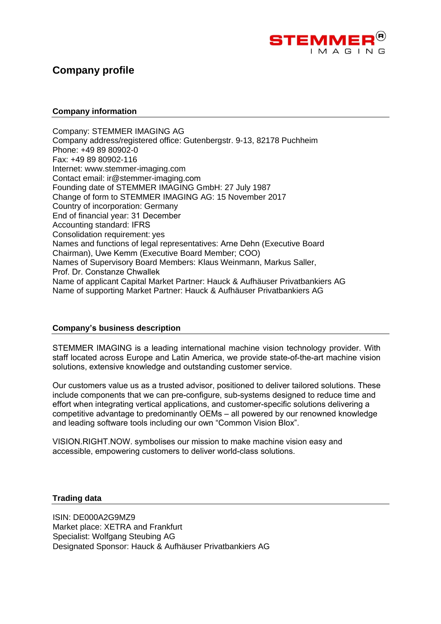

# **Company profile**

#### **Company information**

Company: STEMMER IMAGING AG Company address/registered office: Gutenbergstr. 9-13, 82178 Puchheim Phone: +49 89 80902-0 Fax: +49 89 80902-116 Internet: www.stemmer-imaging.com Contact email: ir@stemmer-imaging.com Founding date of STEMMER IMAGING GmbH: 27 July 1987 Change of form to STEMMER IMAGING AG: 15 November 2017 Country of incorporation: Germany End of financial year: 31 December Accounting standard: IFRS Consolidation requirement: yes Names and functions of legal representatives: Arne Dehn (Executive Board Chairman), Uwe Kemm (Executive Board Member; COO) Names of Supervisory Board Members: Klaus Weinmann, Markus Saller, Prof. Dr. Constanze Chwallek Name of applicant Capital Market Partner: Hauck & Aufhäuser Privatbankiers AG Name of supporting Market Partner: Hauck & Aufhäuser Privatbankiers AG

### **Company's business description**

STEMMER IMAGING is a leading international machine vision technology provider. With staff located across Europe and Latin America, we provide state-of-the-art machine vision solutions, extensive knowledge and outstanding customer service.

Our customers value us as a trusted advisor, positioned to deliver tailored solutions. These include components that we can pre-configure, sub-systems designed to reduce time and effort when integrating vertical applications, and customer-specific solutions delivering a competitive advantage to predominantly OEMs – all powered by our renowned knowledge and leading software tools including our own "Common Vision Blox".

VISION.RIGHT.NOW. symbolises our mission to make machine vision easy and accessible, empowering customers to deliver world-class solutions.

#### **Trading data**

ISIN: DE000A2G9MZ9 Market place: XETRA and Frankfurt Specialist: Wolfgang Steubing AG Designated Sponsor: Hauck & Aufhäuser Privatbankiers AG